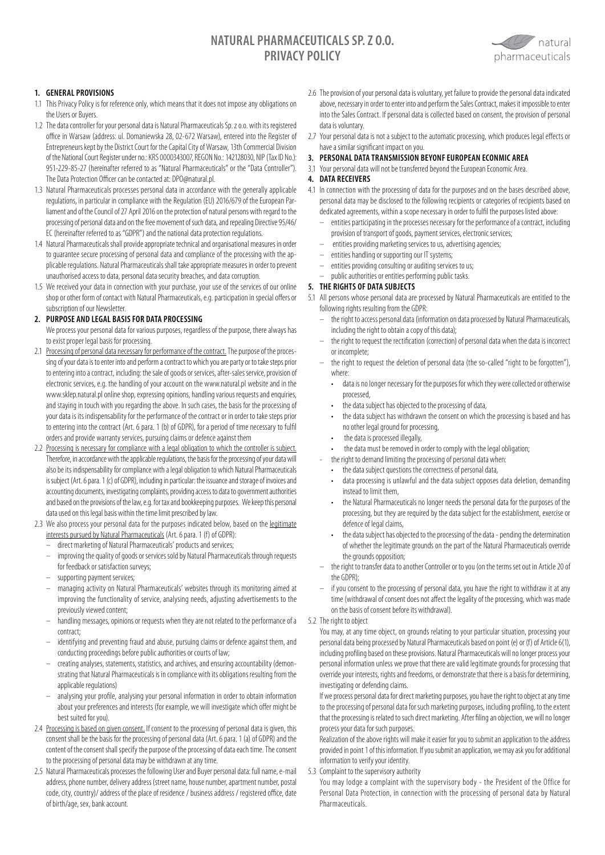# **NATURAL PHARMACEUTICALS SP. Z O.O. PRIVACY POLICY**



# **1. GENERAL PROVISIONS**

- 1.1 This Privacy Policy is for reference only, which means that it does not impose any obligations on the Users or Buyers.
- 1.2 The data controller for your personal data is Natural Pharmaceuticals Sp. z o.o. with its registered office in Warsaw (address: ul. Domaniewska 28, 02-672 Warsaw), entered into the Register of Entrepreneurs kept by the District Court for the Capital City of Warsaw, 13th Commercial Division of the National Court Register under no.: KRS 0000343007, REGON No.: 142128030, NIP (Tax ID No.): 951-229-85-27 (hereinafter referred to as "Natural Pharmaceuticals" or the "Data Controller"). The Data Protection Officer can be contacted at: DPO@natural.pl.
- 1.3 Natural Pharmaceuticals processes personal data in accordance with the generally applicable regulations, in particular in compliance with the Regulation (EU) 2016/679 of the European Parliament and of the Council of 27 April 2016 on the protection of natural persons with regard to the processing of personal data and on the free movement of such data, and repealing Directive 95/46/ EC (hereinafter referred to as "GDPR") and the national data protection regulations.
- 1.4 Natural Pharmaceuticals shall provide appropriate technical and organisational measures in order to guarantee secure processing of personal data and compliance of the processing with the applicable regulations. Natural Pharmaceuticals shall take appropriate measures in order to prevent unauthorised access to data, personal data security breaches, and data corruption.
- 1.5 We received your data in connection with your purchase, your use of the services of our online shop or other form of contact with Natural Pharmaceuticals, e.g. participation in special offers or subscription of our Newsletter.

# **2. PURPOSE AND LEGAL BASIS FOR DATA PROCESSING**

- We process your personal data for various purposes, regardless of the purpose, there always has to exist proper legal basis for processing.
- 2.1 Processing of personal data necessary for performance of the contract. The purpose of the processing of your data is to enter into and perform a contract to which you are party or to take steps prior to entering into a contract, including: the sale of goods or services, after-sales service, provision of electronic services, e.g. the handling of your account on the www.natural.pl website and in the www.sklep.natural.pl online shop, expressing opinions, handling various requests and enquiries, and staying in touch with you regarding the above. In such cases, the basis for the processing of your data is its indispensability for the performance of the contract or in order to take steps prior to entering into the contract (Art. 6 para. 1 (b) of GDPR), for a period of time necessary to fulfil orders and provide warranty services, pursuing claims or defence against them
- 2.2 Processing is necessary for compliance with a legal obligation to which the controller is subject. Therefore, in accordance with the applicable regulations, the basis for the processing of your data will also be its indispensability for compliance with a legal obligation to which Natural Pharmaceuticals is subject (Art. 6 para. 1 (c) of GDPR), including in particular: the issuance and storage of invoices and accounting documents, investigating complaints, providing access to data to government authorities and based on the provisions of the law, e.g. for tax and bookkeeping purposes. We keep this personal data used on this legal basis within the time limit prescribed by law.
- 2.3 We also process your personal data for the purposes indicated below, based on the legitimate interests pursued by Natural Pharmaceuticals (Art. 6 para. 1 (f) of GDPR):
	- direct marketing of Natural Pharmaceuticals' products and services;
	- improving the quality of goods or services sold by Natural Pharmaceuticals through requests for feedback or satisfaction surveys;
	- supporting payment services;
	- managing activity on Natural Pharmaceuticals' websites through its monitoring aimed at improving the functionality of service, analysing needs, adjusting advertisements to the previously viewed content;
	- handling messages, opinions or requests when they are not related to the performance of a contract;
	- identifying and preventing fraud and abuse, pursuing claims or defence against them, and conducting proceedings before public authorities or courts of law;
	- creating analyses, statements, statistics, and archives, and ensuring accountability (demonstrating that Natural Pharmaceuticals is in compliance with its obligations resulting from the applicable regulations)
	- analysing your profile, analysing your personal information in order to obtain information about your preferences and interests (for example, we will investigate which offer might be best suited for you).
- 2.4 Processing is based on given consent. If consent to the processing of personal data is given, this consent shall be the basis for the processing of personal data (Art. 6 para. 1 (a) of GDPR) and the content of the consent shall specify the purpose of the processing of data each time. The consent to the processing of personal data may be withdrawn at any time.
- 2.5 Natural Pharmaceuticals processes the following User and Buyer personal data: full name, e-mail address, phone number, delivery address (street name, house number, apartment number, postal code, city, country)/ address of the place of residence / business address / registered office, date of birth/age, sex, bank account.
- 2.6 The provision of your personal data is voluntary, yet failure to provide the personal data indicated above, necessary in order to enter into and perform the Sales Contract, makes it impossible to enter into the Sales Contract. If personal data is collected based on consent, the provision of personal data is voluntary.
- 2.7 Your personal data is not a subject to the automatic processing, which produces legal effects or have a similar significant impact on you.
- **3. PERSONAL DATA TRANSMISSION BEYONF EUROPEAN ECONMIC AREA**
- 3.1 Your personal data will not be transferred beyond the European Economic Area.

### **4. DATA RECEIVERS**

- 4.1 In connection with the processing of data for the purposes and on the bases described above, personal data may be disclosed to the following recipients or categories of recipients based on dedicated agreements, within a scope necessary in order to fulfil the purposes listed above:
	- entities participating in the processes necessary for the performance of a contract, including provision of transport of goods, payment services, electronic services;
	- entities providing marketing services to us, advertising agencies;
	- entities handling or supporting our IT systems;
	- entities providing consulting or auditing services to us;
	- public authorities or entities performing public tasks.

# **5. THE RIGHTS OF DATA SUBJECTS**

5.1 All persons whose personal data are processed by Natural Pharmaceuticals are entitled to the following rights resulting from the GDPR:

- the right to access personal data (information on data processed by Natural Pharmaceuticals, including the right to obtain a copy of this data);
- the right to request the rectification (correction) of personal data when the data is incorrect or incomplete;
- the right to request the deletion of personal data (the so-called "right to be forgotten"), where:
	- data is no longer necessary for the purposes for which they were collected or otherwise processed,
	- the data subject has objected to the processing of data,
	- the data subject has withdrawn the consent on which the processing is based and has no other legal ground for processing,
	- the data is processed illegally,
	- the data must be removed in order to comply with the legal obligation;
	- the right to demand limiting the processing of personal data when:
	- the data subject questions the correctness of personal data,
	- data processing is unlawful and the data subject opposes data deletion, demanding instead to limit them,
	- the Natural Pharmaceuticals no longer needs the personal data for the purposes of the processing, but they are required by the data subject for the establishment, exercise or defence of legal claims,
	- the data subject has objected to the processing of the data pending the determination of whether the legitimate grounds on the part of the Natural Pharmaceuticals override the grounds opposition;
- the right to transfer data to another Controller or to you (on the terms set out in Article 20 of the GDPR);
- if you consent to the processing of personal data, you have the right to withdraw it at any time (withdrawal of consent does not affect the legality of the processing, which was made on the basis of consent before its withdrawal).

#### 5.2 The right to object

You may, at any time object, on grounds relating to your particular situation, processing your personal data being processed by Natural Pharmaceuticals based on point (e) or (f) of Article 6(1), including profiling based on these provisions. Natural Pharmaceuticals will no longer process your personal information unless we prove that there are valid legitimate grounds for processing that override your interests, rights and freedoms, or demonstrate that there is a basis for determining, investigating or defending claims.

If we process personal data for direct marketing purposes, you have the right to object at any time to the processing of personal data for such marketing purposes, including profiling, to the extent that the processing is related to such direct marketing. After filing an objection, we will no longer process your data for such purposes.

Realization of the above rights will make it easier for you to submit an application to the address provided in point 1 of this information. If you submit an application, we may ask you for additional information to verify your identity.

5.3 Complaint to the supervisory authority

You may lodge a complaint with the supervisory body - the President of the Office for Personal Data Protection, in connection with the processing of personal data by Natural **Pharmaceuticals**